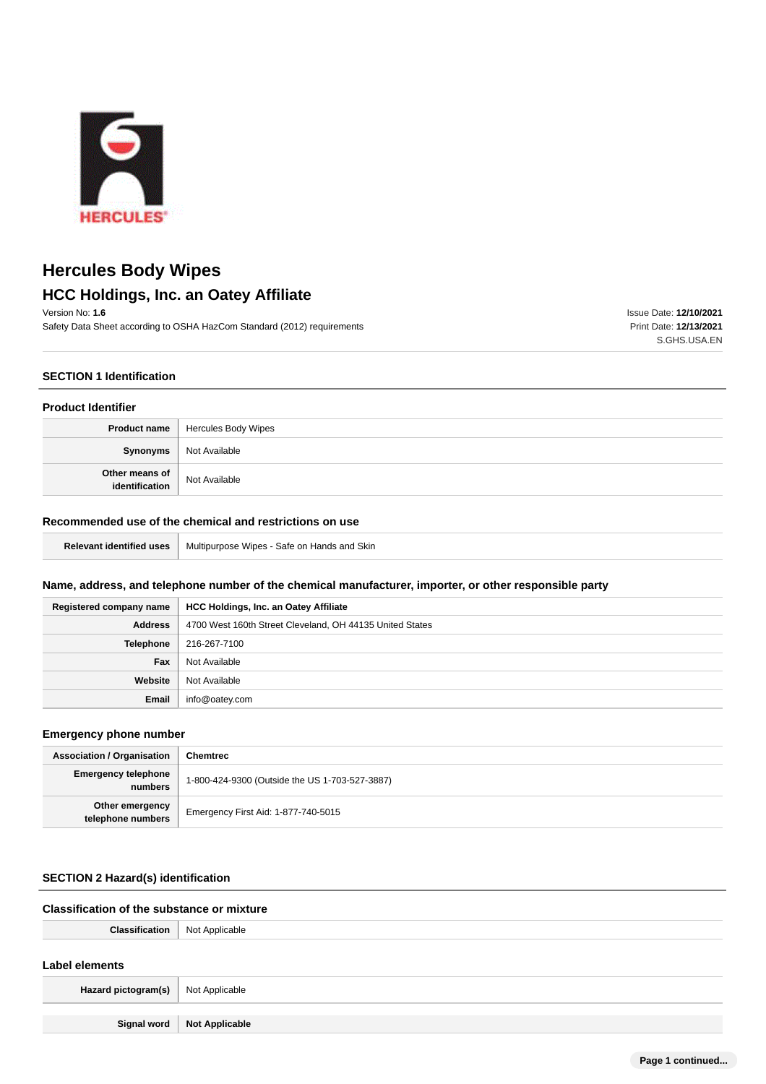

## **HCC Holdings, Inc. an Oatey Affiliate**

Version No: **1.6** Safety Data Sheet according to OSHA HazCom Standard (2012) requirements Issue Date: **12/10/2021** Print Date: **12/13/2021** S.GHS.USA.EN

## **SECTION 1 Identification**

## **Product Identifier**

|                                  | <b>Product name</b>   Hercules Body Wipes |
|----------------------------------|-------------------------------------------|
| Synonyms                         | Not Available                             |
| Other means of<br>identification | Not Available                             |

## **Recommended use of the chemical and restrictions on use**

| <b>Relevant identified uses</b>   Multipurpose Wipes - Safe on Hands and Skin |
|-------------------------------------------------------------------------------|
|-------------------------------------------------------------------------------|

## **Name, address, and telephone number of the chemical manufacturer, importer, or other responsible party**

| Registered company name | <b>HCC Holdings, Inc. an Oatey Affiliate</b>             |
|-------------------------|----------------------------------------------------------|
| <b>Address</b>          | 4700 West 160th Street Cleveland, OH 44135 United States |
| Telephone               | 216-267-7100                                             |
| Fax                     | Not Available                                            |
| Website                 | Not Available                                            |
| Email                   | info@oatey.com                                           |

## **Emergency phone number**

| <b>Association / Organisation</b>     | <b>Chemtrec</b>                                |
|---------------------------------------|------------------------------------------------|
| <b>Emergency telephone</b><br>numbers | 1-800-424-9300 (Outside the US 1-703-527-3887) |
| Other emergency<br>telephone numbers  | Emergency First Aid: 1-877-740-5015            |

## **SECTION 2 Hazard(s) identification**

## **Classification of the substance or mixture**

| <b>Classification</b>   Not Applicable |                              |
|----------------------------------------|------------------------------|
| Label elements                         |                              |
| Hazard pictogram(s)   Not Applicable   |                              |
|                                        | Signal word   Not Applicable |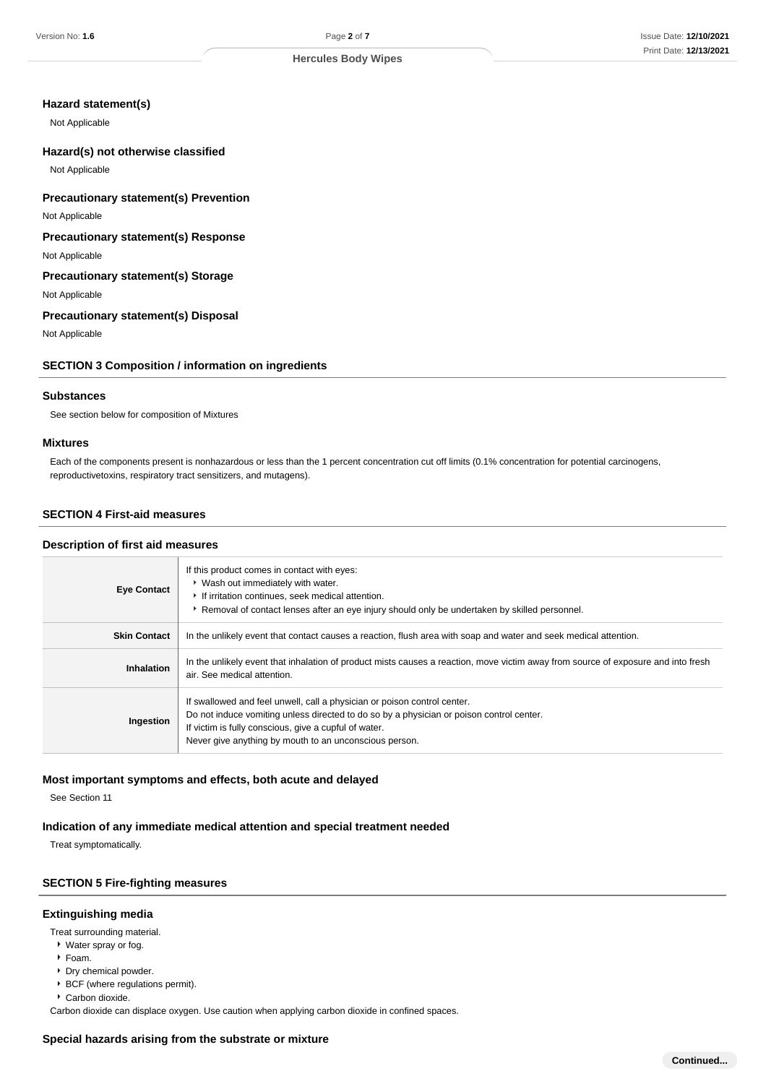#### **Hazard statement(s)**

Not Applicable

#### **Hazard(s) not otherwise classified**

Not Applicable

#### **Precautionary statement(s) Prevention**

Not Applicable

## **Precautionary statement(s) Response**

Not Applicable

## **Precautionary statement(s) Storage**

Not Applicable

## **Precautionary statement(s) Disposal**

Not Applicable

## **SECTION 3 Composition / information on ingredients**

#### **Substances**

See section below for composition of Mixtures

#### **Mixtures**

Each of the components present is nonhazardous or less than the 1 percent concentration cut off limits (0.1% concentration for potential carcinogens, reproductivetoxins, respiratory tract sensitizers, and mutagens).

## **SECTION 4 First-aid measures**

#### **Description of first aid measures**

| <b>Eye Contact</b>  | If this product comes in contact with eyes:<br>▶ Wash out immediately with water.<br>If irritation continues, seek medical attention.<br>Removal of contact lenses after an eye injury should only be undertaken by skilled personnel.                                                  |
|---------------------|-----------------------------------------------------------------------------------------------------------------------------------------------------------------------------------------------------------------------------------------------------------------------------------------|
| <b>Skin Contact</b> | In the unlikely event that contact causes a reaction, flush area with soap and water and seek medical attention.                                                                                                                                                                        |
| Inhalation          | In the unlikely event that inhalation of product mists causes a reaction, move victim away from source of exposure and into fresh<br>air. See medical attention.                                                                                                                        |
| Ingestion           | If swallowed and feel unwell, call a physician or poison control center.<br>Do not induce vomiting unless directed to do so by a physician or poison control center.<br>If victim is fully conscious, give a cupful of water.<br>Never give anything by mouth to an unconscious person. |

#### **Most important symptoms and effects, both acute and delayed**

See Section 11

## **Indication of any immediate medical attention and special treatment needed**

Treat symptomatically.

## **SECTION 5 Fire-fighting measures**

#### **Extinguishing media**

Treat surrounding material.

- Water spray or fog.
- Foam.
- **Dry chemical powder.**
- **BCF** (where regulations permit).

Carbon dioxide.

Carbon dioxide can displace oxygen. Use caution when applying carbon dioxide in confined spaces.

#### **Special hazards arising from the substrate or mixture**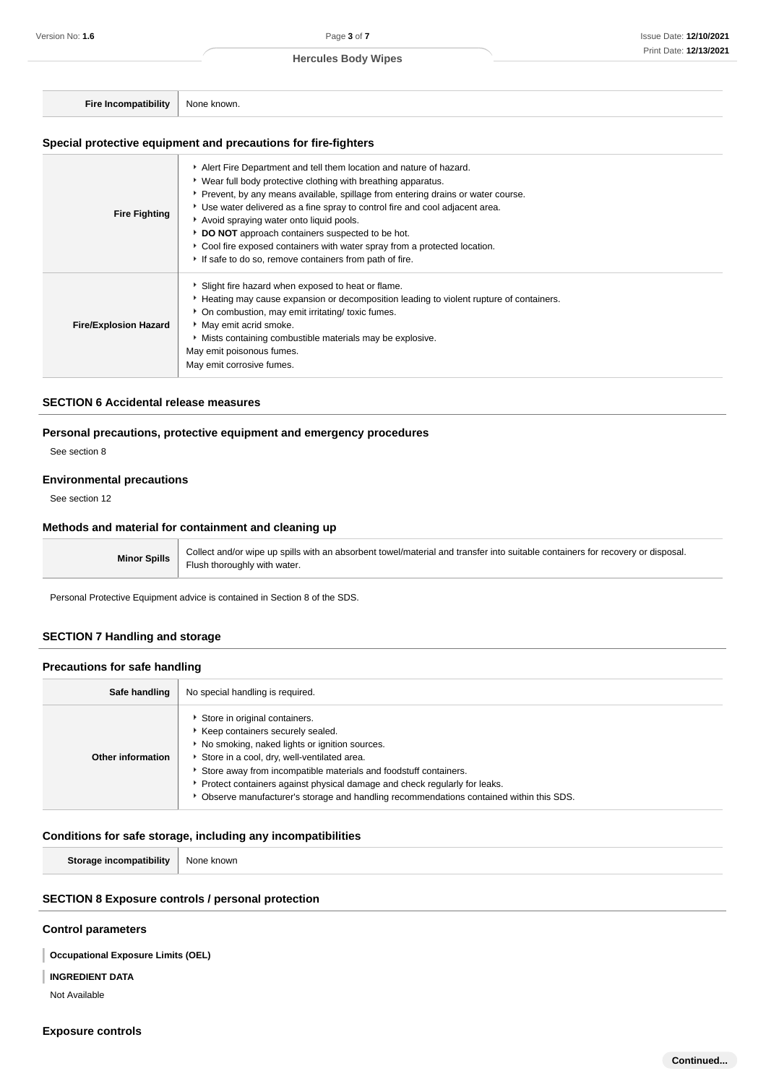**Fire Incompatibility** None known.

## **Special protective equipment and precautions for fire-fighters**

| <b>Fire Fighting</b>         | Alert Fire Department and tell them location and nature of hazard.<br>• Wear full body protective clothing with breathing apparatus.<br>▶ Prevent, by any means available, spillage from entering drains or water course.<br>• Use water delivered as a fine spray to control fire and cool adjacent area.<br>Avoid spraying water onto liquid pools.<br>DO NOT approach containers suspected to be hot.<br>Cool fire exposed containers with water spray from a protected location.<br>If safe to do so, remove containers from path of fire. |
|------------------------------|------------------------------------------------------------------------------------------------------------------------------------------------------------------------------------------------------------------------------------------------------------------------------------------------------------------------------------------------------------------------------------------------------------------------------------------------------------------------------------------------------------------------------------------------|
| <b>Fire/Explosion Hazard</b> | Slight fire hazard when exposed to heat or flame.<br>► Heating may cause expansion or decomposition leading to violent rupture of containers.<br>* On combustion, may emit irritating/ toxic fumes.<br>May emit acrid smoke.<br>Mists containing combustible materials may be explosive.<br>May emit poisonous fumes.<br>May emit corrosive fumes.                                                                                                                                                                                             |

## **SECTION 6 Accidental release measures**

## **Personal precautions, protective equipment and emergency procedures**

See section 8

#### **Environmental precautions**

See section 12

## **Methods and material for containment and cleaning up**

**Minor Spills** Collect and/or wipe up spills with an absorbent towel/material and transfer into suitable containers for recovery or disposal. Flush thoroughly with water.

Personal Protective Equipment advice is contained in Section 8 of the SDS.

## **SECTION 7 Handling and storage**

## **Precautions for safe handling**

| Safe handling     | No special handling is required.                                                                                                                                                                                                                                                                                                                                                                                 |
|-------------------|------------------------------------------------------------------------------------------------------------------------------------------------------------------------------------------------------------------------------------------------------------------------------------------------------------------------------------------------------------------------------------------------------------------|
| Other information | Store in original containers.<br>▶ Keep containers securely sealed.<br>▶ No smoking, naked lights or ignition sources.<br>Store in a cool, dry, well-ventilated area.<br>Store away from incompatible materials and foodstuff containers.<br>Protect containers against physical damage and check regularly for leaks.<br>Observe manufacturer's storage and handling recommendations contained within this SDS. |

## **Conditions for safe storage, including any incompatibilities**

**Storage incompatibility** None known

## **SECTION 8 Exposure controls / personal protection**

#### **Control parameters**

**Occupational Exposure Limits (OEL)**

#### **INGREDIENT DATA**

Not Available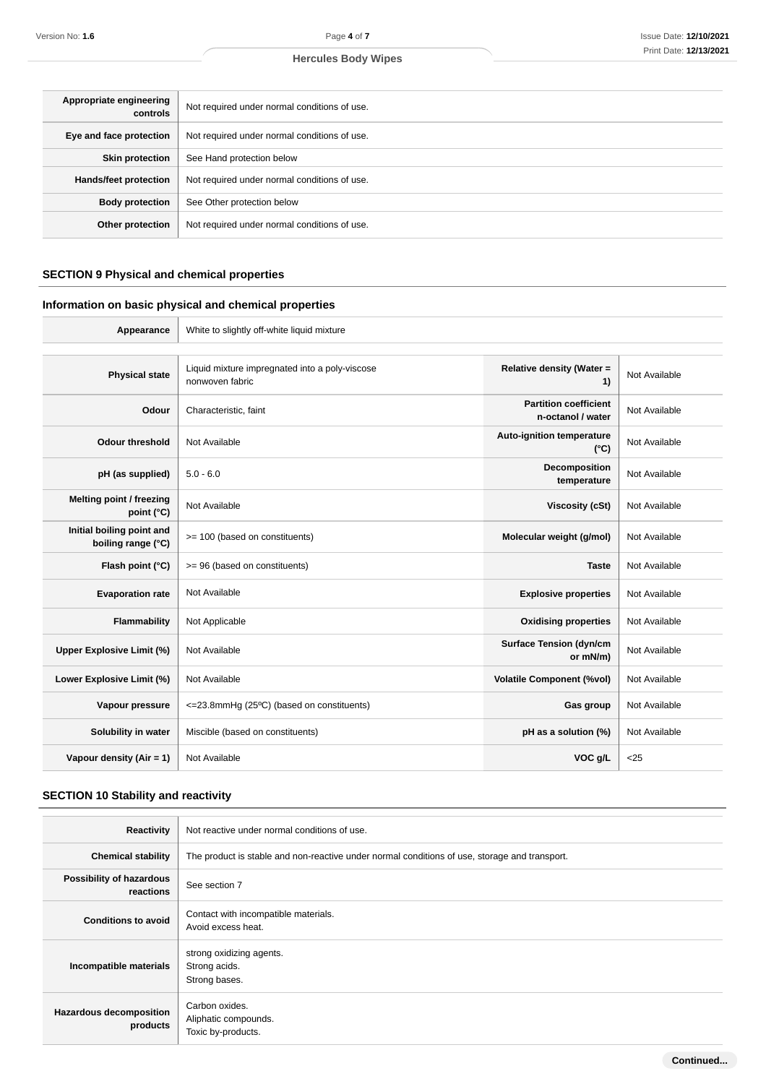| Appropriate engineering<br>controls | Not required under normal conditions of use. |
|-------------------------------------|----------------------------------------------|
| Eye and face protection             | Not required under normal conditions of use. |
| <b>Skin protection</b>              | See Hand protection below                    |
| <b>Hands/feet protection</b>        | Not required under normal conditions of use. |
| <b>Body protection</b>              | See Other protection below                   |
| Other protection                    | Not required under normal conditions of use. |

## **SECTION 9 Physical and chemical properties**

## **Information on basic physical and chemical properties**

| Appearance                                      | White to slightly off-white liquid mixture                        |                                                   |               |
|-------------------------------------------------|-------------------------------------------------------------------|---------------------------------------------------|---------------|
|                                                 |                                                                   |                                                   |               |
| <b>Physical state</b>                           | Liquid mixture impregnated into a poly-viscose<br>nonwoven fabric | Relative density (Water =<br>1)                   | Not Available |
| Odour                                           | Characteristic, faint                                             | <b>Partition coefficient</b><br>n-octanol / water | Not Available |
| <b>Odour threshold</b>                          | Not Available                                                     | Auto-ignition temperature<br>$(^{\circ}C)$        | Not Available |
| pH (as supplied)                                | $5.0 - 6.0$                                                       | Decomposition<br>temperature                      | Not Available |
| Melting point / freezing<br>point (°C)          | Not Available                                                     | <b>Viscosity (cSt)</b>                            | Not Available |
| Initial boiling point and<br>boiling range (°C) | >= 100 (based on constituents)                                    | Molecular weight (g/mol)                          | Not Available |
| Flash point (°C)                                | >= 96 (based on constituents)                                     | <b>Taste</b>                                      | Not Available |
| <b>Evaporation rate</b>                         | Not Available                                                     | <b>Explosive properties</b>                       | Not Available |
| Flammability                                    | Not Applicable                                                    | <b>Oxidising properties</b>                       | Not Available |
| <b>Upper Explosive Limit (%)</b>                | Not Available                                                     | <b>Surface Tension (dyn/cm</b><br>or mN/m)        | Not Available |
| Lower Explosive Limit (%)                       | Not Available                                                     | <b>Volatile Component (%vol)</b>                  | Not Available |
| Vapour pressure                                 | <= 23.8mmHg (25°C) (based on constituents)                        | Gas group                                         | Not Available |
| Solubility in water                             | Miscible (based on constituents)                                  | pH as a solution (%)                              | Not Available |
| Vapour density (Air = 1)                        | Not Available                                                     | VOC g/L                                           | $25$          |

## **SECTION 10 Stability and reactivity**

| Reactivity                                 | Not reactive under normal conditions of use.                                                  |
|--------------------------------------------|-----------------------------------------------------------------------------------------------|
| <b>Chemical stability</b>                  | The product is stable and non-reactive under normal conditions of use, storage and transport. |
| Possibility of hazardous<br>reactions      | See section 7                                                                                 |
| <b>Conditions to avoid</b>                 | Contact with incompatible materials.<br>Avoid excess heat.                                    |
| Incompatible materials                     | strong oxidizing agents.<br>Strong acids.<br>Strong bases.                                    |
| <b>Hazardous decomposition</b><br>products | Carbon oxides.<br>Aliphatic compounds.<br>Toxic by-products.                                  |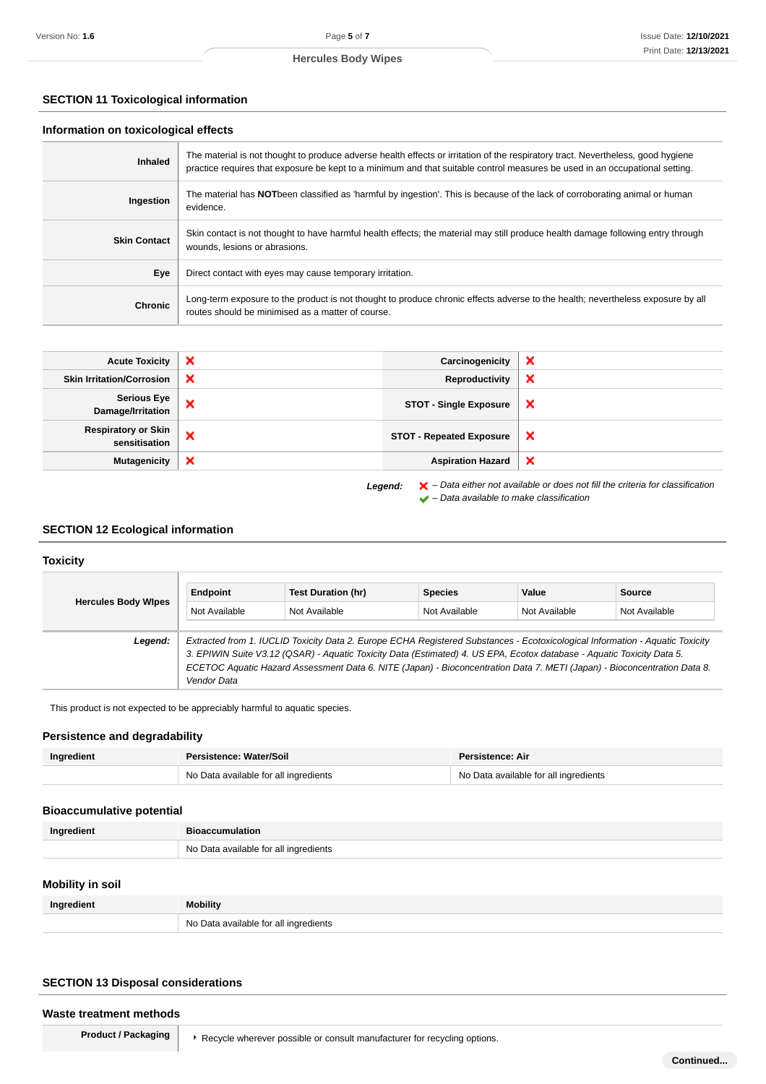## **SECTION 11 Toxicological information**

#### **Information on toxicological effects**

| <b>Inhaled</b>      | The material is not thought to produce adverse health effects or irritation of the respiratory tract. Nevertheless, good hygiene<br>practice requires that exposure be kept to a minimum and that suitable control measures be used in an occupational setting. |
|---------------------|-----------------------------------------------------------------------------------------------------------------------------------------------------------------------------------------------------------------------------------------------------------------|
| Ingestion           | The material has NOTbeen classified as 'harmful by ingestion'. This is because of the lack of corroborating animal or human<br>evidence.                                                                                                                        |
| <b>Skin Contact</b> | Skin contact is not thought to have harmful health effects; the material may still produce health damage following entry through<br>wounds, lesions or abrasions.                                                                                               |
| Eye                 | Direct contact with eyes may cause temporary irritation.                                                                                                                                                                                                        |
| <b>Chronic</b>      | Long-term exposure to the product is not thought to produce chronic effects adverse to the health; nevertheless exposure by all<br>routes should be minimised as a matter of course.                                                                            |

| <b>Acute Toxicity</b>                       | × | Carcinogenicity                 | ×                                                                                                  |
|---------------------------------------------|---|---------------------------------|----------------------------------------------------------------------------------------------------|
| <b>Skin Irritation/Corrosion</b>            | × | Reproductivity                  | ×                                                                                                  |
| <b>Serious Eye</b><br>Damage/Irritation     | × | <b>STOT - Single Exposure</b>   | $\boldsymbol{\mathsf{x}}$                                                                          |
| <b>Respiratory or Skin</b><br>sensitisation | × | <b>STOT - Repeated Exposure</b> | $\boldsymbol{\mathsf{x}}$                                                                          |
| <b>Mutagenicity</b>                         | × | <b>Aspiration Hazard</b>        | $\boldsymbol{\mathsf{x}}$                                                                          |
|                                             |   | Legend:                         | $\blacktriangleright$ - Data either not available or does not fill the criteria for classification |

 $\blacktriangleright$  – Data available to make classification

## **SECTION 12 Ecological information**

## **Toxicity**

| <b>Hercules Body Wipes</b> | Endpoint                                                                                                               | Test Duration (hr)                                                                                                            | <b>Species</b> | Value         | <b>Source</b> |
|----------------------------|------------------------------------------------------------------------------------------------------------------------|-------------------------------------------------------------------------------------------------------------------------------|----------------|---------------|---------------|
|                            | Not Available                                                                                                          | Not Available                                                                                                                 | Not Available  | Not Available | Not Available |
|                            |                                                                                                                        |                                                                                                                               |                |               |               |
| Legend:                    |                                                                                                                        | Extracted from 1. IUCLID Toxicity Data 2. Europe ECHA Registered Substances - Ecotoxicological Information - Aquatic Toxicity |                |               |               |
|                            | 3. EPIWIN Suite V3.12 (QSAR) - Aquatic Toxicity Data (Estimated) 4. US EPA, Ecotox database - Aquatic Toxicity Data 5. |                                                                                                                               |                |               |               |
|                            |                                                                                                                        | ECETOC Aquatic Hazard Assessment Data 6. NITE (Japan) - Bioconcentration Data 7. METI (Japan) - Bioconcentration Data 8.      |                |               |               |
|                            | Vendor Data                                                                                                            |                                                                                                                               |                |               |               |

This product is not expected to be appreciably harmful to aquatic species.

## **Persistence and degradability**

| Ingredient | Persistence: Water/Soil               | Persistence: Air                      |  |
|------------|---------------------------------------|---------------------------------------|--|
|            | No Data available for all ingredients | No Data available for all ingredients |  |

## **Bioaccumulative potential**

| Ingredient | <b>Bioaccumulation</b>                |
|------------|---------------------------------------|
|            | No Data available for all ingredients |

## **Mobility in soil**

| Ingredient | <b>Mobility</b>                       |
|------------|---------------------------------------|
|            | No Data available for all ingredients |

## **SECTION 13 Disposal considerations**

#### **Waste treatment methods**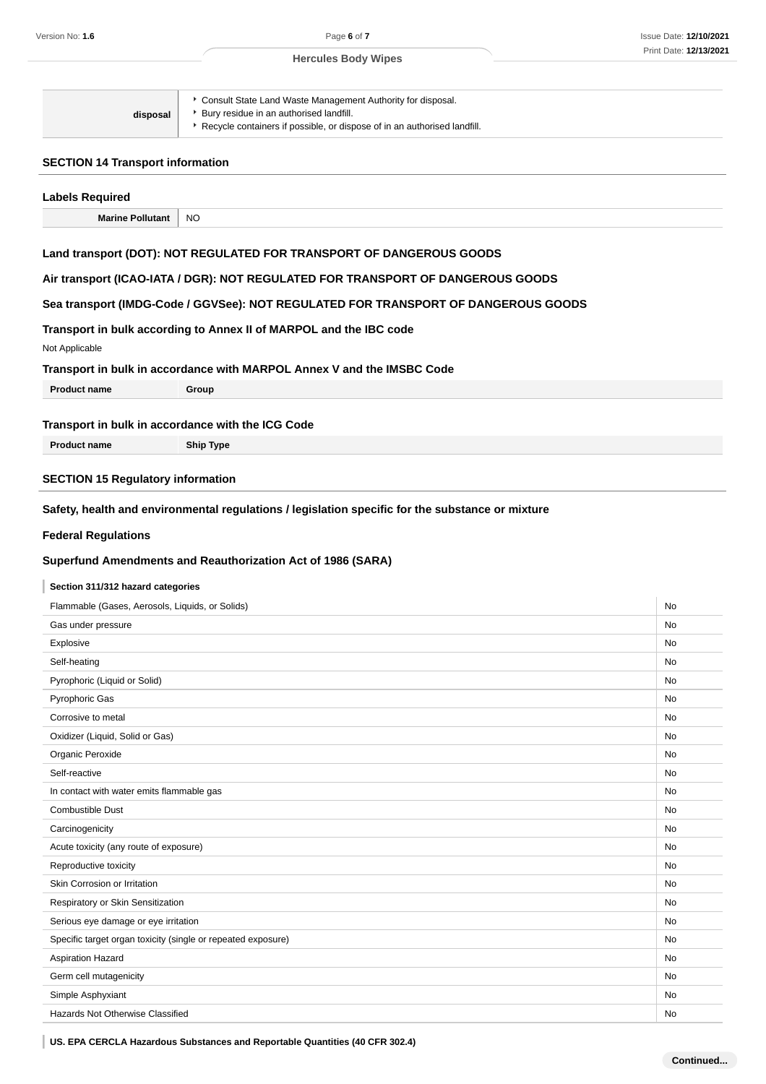| Consult State Land Waste Management Authority for disposal.<br>* Bury residue in an authorised landfill.<br>disposal<br>▶ Recycle containers if possible, or dispose of in an authorised landfill. |
|----------------------------------------------------------------------------------------------------------------------------------------------------------------------------------------------------|
|----------------------------------------------------------------------------------------------------------------------------------------------------------------------------------------------------|

## **SECTION 14 Transport information**

| <b>Labels Required</b>                                       |                                                                                                  |    |
|--------------------------------------------------------------|--------------------------------------------------------------------------------------------------|----|
| <b>Marine Pollutant</b>                                      | NO                                                                                               |    |
|                                                              | Land transport (DOT): NOT REGULATED FOR TRANSPORT OF DANGEROUS GOODS                             |    |
|                                                              | Air transport (ICAO-IATA / DGR): NOT REGULATED FOR TRANSPORT OF DANGEROUS GOODS                  |    |
|                                                              | Sea transport (IMDG-Code / GGVSee): NOT REGULATED FOR TRANSPORT OF DANGEROUS GOODS               |    |
|                                                              |                                                                                                  |    |
| Not Applicable                                               | Transport in bulk according to Annex II of MARPOL and the IBC code                               |    |
|                                                              | Transport in bulk in accordance with MARPOL Annex V and the IMSBC Code                           |    |
| <b>Product name</b>                                          | Group                                                                                            |    |
|                                                              | Transport in bulk in accordance with the ICG Code                                                |    |
| <b>Product name</b>                                          | <b>Ship Type</b>                                                                                 |    |
|                                                              |                                                                                                  |    |
| <b>SECTION 15 Regulatory information</b>                     |                                                                                                  |    |
|                                                              | Safety, health and environmental regulations / legislation specific for the substance or mixture |    |
| <b>Federal Regulations</b>                                   |                                                                                                  |    |
|                                                              | Superfund Amendments and Reauthorization Act of 1986 (SARA)                                      |    |
| Section 311/312 hazard categories                            |                                                                                                  |    |
| Flammable (Gases, Aerosols, Liquids, or Solids)              |                                                                                                  | No |
| Gas under pressure                                           |                                                                                                  | No |
| Explosive                                                    |                                                                                                  | No |
| Self-heating                                                 |                                                                                                  | No |
| Pyrophoric (Liquid or Solid)                                 |                                                                                                  | No |
| Pyrophoric Gas                                               |                                                                                                  | No |
| Corrosive to metal                                           |                                                                                                  | No |
| Oxidizer (Liquid, Solid or Gas)                              |                                                                                                  | No |
| Organic Peroxide                                             |                                                                                                  | No |
| Self-reactive                                                |                                                                                                  | No |
| In contact with water emits flammable gas                    |                                                                                                  | No |
| Combustible Dust                                             |                                                                                                  | No |
| Carcinogenicity                                              |                                                                                                  | No |
| Acute toxicity (any route of exposure)                       |                                                                                                  | No |
| Reproductive toxicity                                        |                                                                                                  | No |
| Skin Corrosion or Irritation                                 |                                                                                                  | No |
| Respiratory or Skin Sensitization                            |                                                                                                  | No |
| Serious eye damage or eye irritation                         |                                                                                                  | No |
| Specific target organ toxicity (single or repeated exposure) |                                                                                                  | No |
| Aspiration Hazard                                            |                                                                                                  | No |
| Germ cell mutagenicity                                       |                                                                                                  | No |
| Simple Asphyxiant                                            |                                                                                                  | No |
| Hazards Not Otherwise Classified                             |                                                                                                  | No |